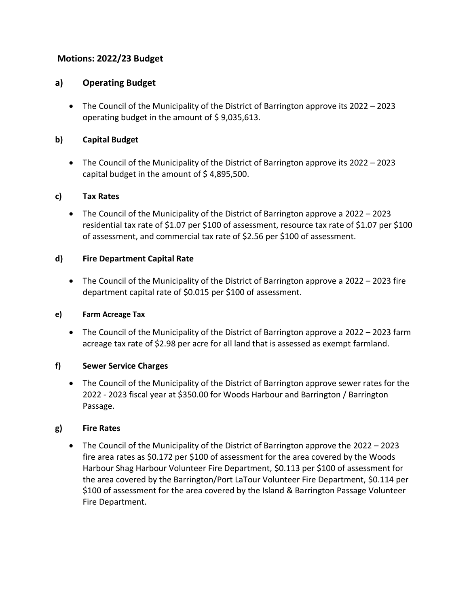# **Motions: 2022/23 Budget**

# **a) Operating Budget**

• The Council of the Municipality of the District of Barrington approve its 2022 – 2023 operating budget in the amount of \$ 9,035,613.

# **b) Capital Budget**

• The Council of the Municipality of the District of Barrington approve its 2022 – 2023 capital budget in the amount of \$4,895,500.

# **c) Tax Rates**

• The Council of the Municipality of the District of Barrington approve a 2022 – 2023 residential tax rate of \$1.07 per \$100 of assessment, resource tax rate of \$1.07 per \$100 of assessment, and commercial tax rate of \$2.56 per \$100 of assessment.

### **d) Fire Department Capital Rate**

• The Council of the Municipality of the District of Barrington approve a 2022 – 2023 fire department capital rate of \$0.015 per \$100 of assessment.

### **e) Farm Acreage Tax**

• The Council of the Municipality of the District of Barrington approve a 2022 – 2023 farm acreage tax rate of \$2.98 per acre for all land that is assessed as exempt farmland.

# **f) Sewer Service Charges**

• The Council of the Municipality of the District of Barrington approve sewer rates for the 2022 - 2023 fiscal year at \$350.00 for Woods Harbour and Barrington / Barrington Passage.

### **g) Fire Rates**

• The Council of the Municipality of the District of Barrington approve the 2022 – 2023 fire area rates as \$0.172 per \$100 of assessment for the area covered by the Woods Harbour Shag Harbour Volunteer Fire Department, \$0.113 per \$100 of assessment for the area covered by the Barrington/Port LaTour Volunteer Fire Department, \$0.114 per \$100 of assessment for the area covered by the Island & Barrington Passage Volunteer Fire Department.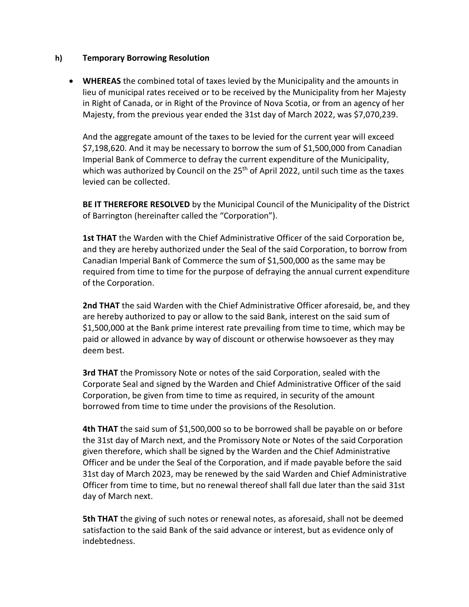#### **h) Temporary Borrowing Resolution**

• **WHEREAS** the combined total of taxes levied by the Municipality and the amounts in lieu of municipal rates received or to be received by the Municipality from her Majesty in Right of Canada, or in Right of the Province of Nova Scotia, or from an agency of her Majesty, from the previous year ended the 31st day of March 2022, was \$7,070,239.

And the aggregate amount of the taxes to be levied for the current year will exceed \$7,198,620. And it may be necessary to borrow the sum of \$1,500,000 from Canadian Imperial Bank of Commerce to defray the current expenditure of the Municipality, which was authorized by Council on the 25<sup>th</sup> of April 2022, until such time as the taxes levied can be collected.

**BE IT THEREFORE RESOLVED** by the Municipal Council of the Municipality of the District of Barrington (hereinafter called the "Corporation").

**1st THAT** the Warden with the Chief Administrative Officer of the said Corporation be, and they are hereby authorized under the Seal of the said Corporation, to borrow from Canadian Imperial Bank of Commerce the sum of \$1,500,000 as the same may be required from time to time for the purpose of defraying the annual current expenditure of the Corporation.

**2nd THAT** the said Warden with the Chief Administrative Officer aforesaid, be, and they are hereby authorized to pay or allow to the said Bank, interest on the said sum of \$1,500,000 at the Bank prime interest rate prevailing from time to time, which may be paid or allowed in advance by way of discount or otherwise howsoever as they may deem best.

**3rd THAT** the Promissory Note or notes of the said Corporation, sealed with the Corporate Seal and signed by the Warden and Chief Administrative Officer of the said Corporation, be given from time to time as required, in security of the amount borrowed from time to time under the provisions of the Resolution.

**4th THAT** the said sum of \$1,500,000 so to be borrowed shall be payable on or before the 31st day of March next, and the Promissory Note or Notes of the said Corporation given therefore, which shall be signed by the Warden and the Chief Administrative Officer and be under the Seal of the Corporation, and if made payable before the said 31st day of March 2023, may be renewed by the said Warden and Chief Administrative Officer from time to time, but no renewal thereof shall fall due later than the said 31st day of March next.

**5th THAT** the giving of such notes or renewal notes, as aforesaid, shall not be deemed satisfaction to the said Bank of the said advance or interest, but as evidence only of indebtedness.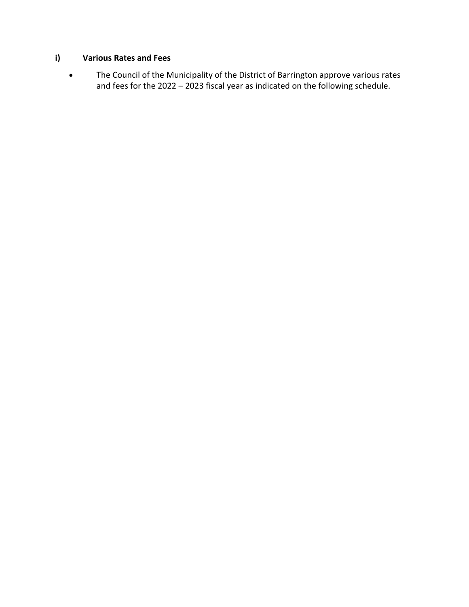# **i) Various Rates and Fees**

• The Council of the Municipality of the District of Barrington approve various rates and fees for the 2022 – 2023 fiscal year as indicated on the following schedule.